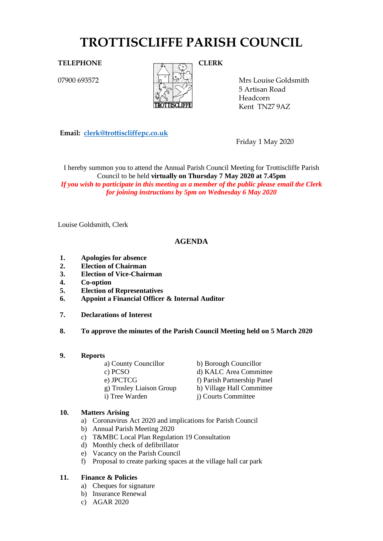# **TROTTISCLIFFE PARISH COUNCIL**

07900 693572



Mrs Louise Goldsmith 5 Artisan Road Headcorn Kent TN27 9AZ

**Email: [clerk@trottiscliffepc.co.uk](mailto:clerk@trottiscliffepc.co.uk)**

Friday 1 May 2020

I hereby summon you to attend the Annual Parish Council Meeting for Trottiscliffe Parish Council to be held **virtually on Thursday 7 May 2020 at 7.45pm** *If you wish to participate in this meeting as a member of the public please email the Clerk for joining instructions by 5pm on Wednesday 6 May 2020*

Louise Goldsmith, Clerk

## **AGENDA**

- **1. Apologies for absence**
- **2. Election of Chairman**
- **3. Election of Vice-Chairman**
- **4. Co-option**
- **5. Election of Representatives**
- **6. Appoint a Financial Officer & Internal Auditor**
- **7. Declarations of Interest**
- **8. To approve the minutes of the Parish Council Meeting held on 5 March 2020**
- **9. Reports**

| b) Borough Councillor       |
|-----------------------------|
| d) KALC Area Committee      |
| f) Parish Partnership Panel |
| h) Village Hall Committee   |
| i) Courts Committee         |
|                             |

## **10. Matters Arising**

- a) Coronavirus Act 2020 and implications for Parish Council
- b) Annual Parish Meeting 2020
- c) T&MBC Local Plan Regulation 19 Consultation
- d) Monthly check of defibrillator
- e) Vacancy on the Parish Council
- f) Proposal to create parking spaces at the village hall car park

## **11. Finance & Policies**

- a) Cheques for signature
- b) Insurance Renewal
- c) AGAR 2020